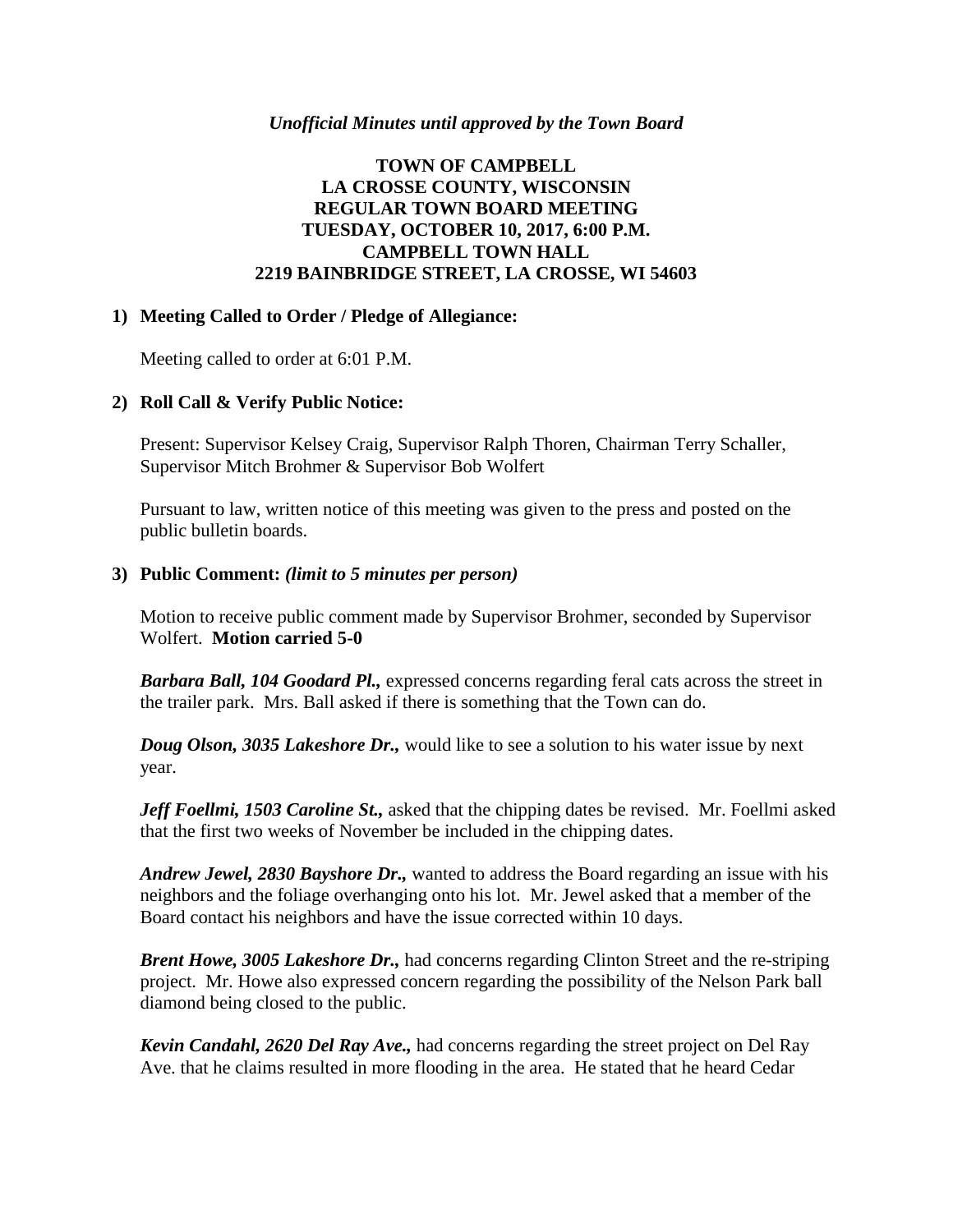#### *Unofficial Minutes until approved by the Town Board*

# **TOWN OF CAMPBELL LA CROSSE COUNTY, WISCONSIN REGULAR TOWN BOARD MEETING TUESDAY, OCTOBER 10, 2017, 6:00 P.M. CAMPBELL TOWN HALL 2219 BAINBRIDGE STREET, LA CROSSE, WI 54603**

## **1) Meeting Called to Order / Pledge of Allegiance:**

Meeting called to order at 6:01 P.M.

## **2) Roll Call & Verify Public Notice:**

Present: Supervisor Kelsey Craig, Supervisor Ralph Thoren, Chairman Terry Schaller, Supervisor Mitch Brohmer & Supervisor Bob Wolfert

Pursuant to law, written notice of this meeting was given to the press and posted on the public bulletin boards.

#### **3) Public Comment:** *(limit to 5 minutes per person)*

Motion to receive public comment made by Supervisor Brohmer, seconded by Supervisor Wolfert. **Motion carried 5-0**

*Barbara Ball, 104 Goodard Pl.,* expressed concerns regarding feral cats across the street in the trailer park. Mrs. Ball asked if there is something that the Town can do.

*Doug Olson, 3035 Lakeshore Dr.,* would like to see a solution to his water issue by next year.

*Jeff Foellmi, 1503 Caroline St.,* asked that the chipping dates be revised. Mr. Foellmi asked that the first two weeks of November be included in the chipping dates.

*Andrew Jewel, 2830 Bayshore Dr.,* wanted to address the Board regarding an issue with his neighbors and the foliage overhanging onto his lot. Mr. Jewel asked that a member of the Board contact his neighbors and have the issue corrected within 10 days.

*Brent Howe, 3005 Lakeshore Dr.,* had concerns regarding Clinton Street and the re-striping project. Mr. Howe also expressed concern regarding the possibility of the Nelson Park ball diamond being closed to the public.

*Kevin Candahl, 2620 Del Ray Ave.,* had concerns regarding the street project on Del Ray Ave. that he claims resulted in more flooding in the area. He stated that he heard Cedar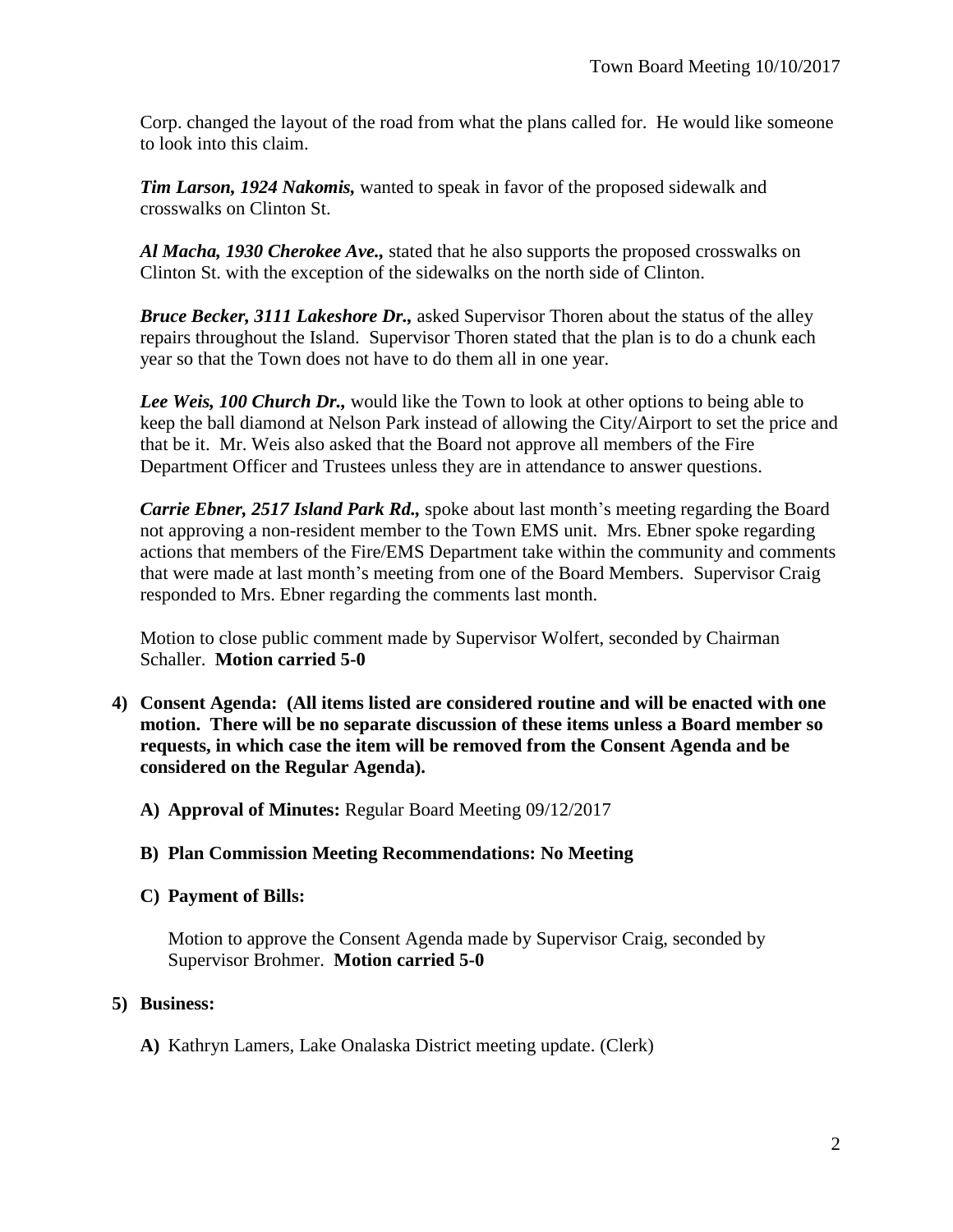Corp. changed the layout of the road from what the plans called for. He would like someone to look into this claim.

*Tim Larson, 1924 Nakomis,* wanted to speak in favor of the proposed sidewalk and crosswalks on Clinton St.

*Al Macha, 1930 Cherokee Ave.,* stated that he also supports the proposed crosswalks on Clinton St. with the exception of the sidewalks on the north side of Clinton.

*Bruce Becker, 3111 Lakeshore Dr.,* asked Supervisor Thoren about the status of the alley repairs throughout the Island. Supervisor Thoren stated that the plan is to do a chunk each year so that the Town does not have to do them all in one year.

*Lee Weis, 100 Church Dr.,* would like the Town to look at other options to being able to keep the ball diamond at Nelson Park instead of allowing the City/Airport to set the price and that be it. Mr. Weis also asked that the Board not approve all members of the Fire Department Officer and Trustees unless they are in attendance to answer questions.

*Carrie Ebner, 2517 Island Park Rd.,* spoke about last month's meeting regarding the Board not approving a non-resident member to the Town EMS unit. Mrs. Ebner spoke regarding actions that members of the Fire/EMS Department take within the community and comments that were made at last month's meeting from one of the Board Members. Supervisor Craig responded to Mrs. Ebner regarding the comments last month.

Motion to close public comment made by Supervisor Wolfert, seconded by Chairman Schaller. **Motion carried 5-0**

- **4) Consent Agenda: (All items listed are considered routine and will be enacted with one motion. There will be no separate discussion of these items unless a Board member so requests, in which case the item will be removed from the Consent Agenda and be considered on the Regular Agenda).**
	- **A) Approval of Minutes:** Regular Board Meeting 09/12/2017
	- **B) Plan Commission Meeting Recommendations: No Meeting**
	- **C) Payment of Bills:**

Motion to approve the Consent Agenda made by Supervisor Craig, seconded by Supervisor Brohmer. **Motion carried 5-0**

# **5) Business:**

**A)** Kathryn Lamers, Lake Onalaska District meeting update. (Clerk)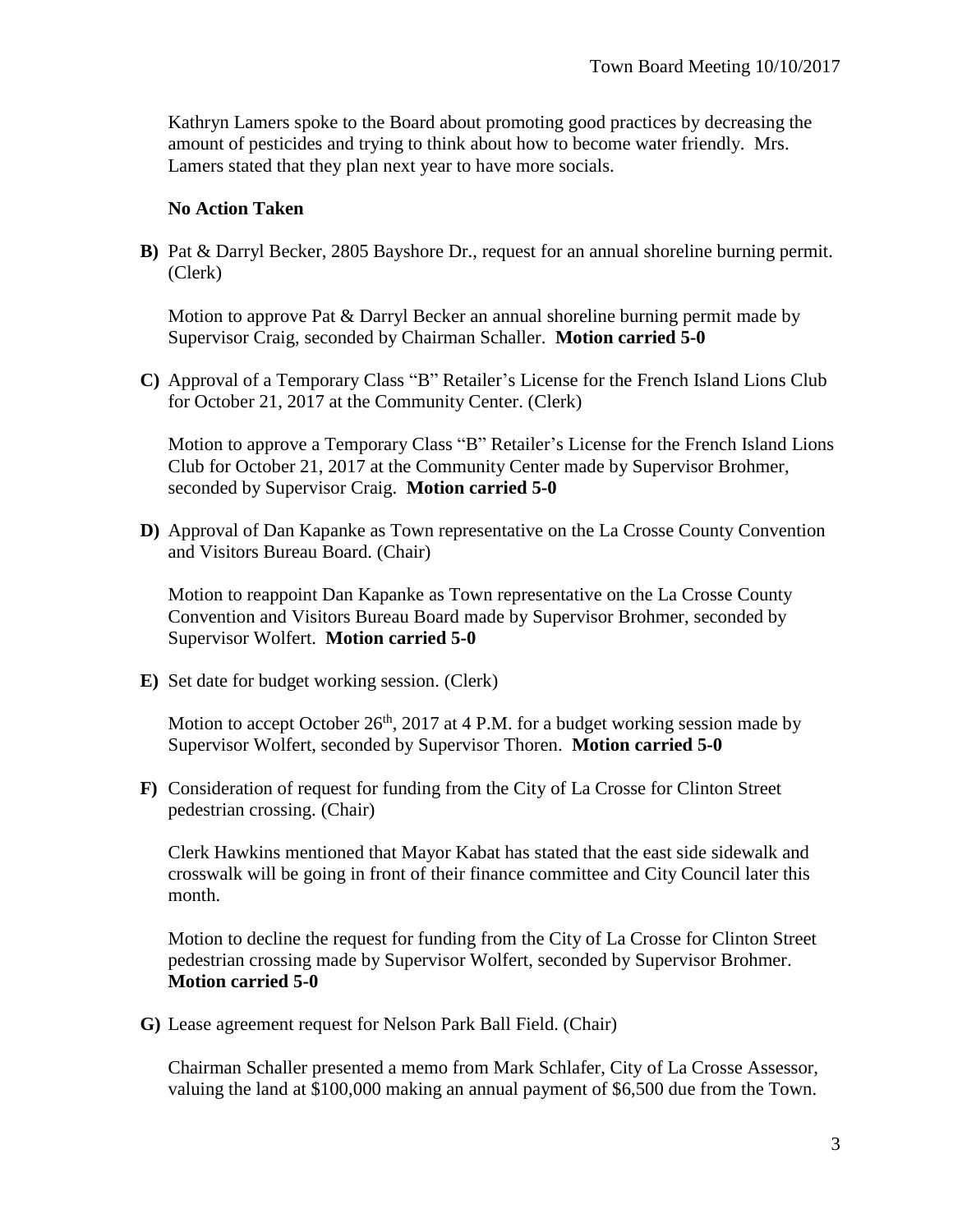Kathryn Lamers spoke to the Board about promoting good practices by decreasing the amount of pesticides and trying to think about how to become water friendly. Mrs. Lamers stated that they plan next year to have more socials.

#### **No Action Taken**

**B)** Pat & Darryl Becker, 2805 Bayshore Dr., request for an annual shoreline burning permit. (Clerk)

Motion to approve Pat & Darryl Becker an annual shoreline burning permit made by Supervisor Craig, seconded by Chairman Schaller. **Motion carried 5-0**

**C)** Approval of a Temporary Class "B" Retailer's License for the French Island Lions Club for October 21, 2017 at the Community Center. (Clerk)

Motion to approve a Temporary Class "B" Retailer's License for the French Island Lions Club for October 21, 2017 at the Community Center made by Supervisor Brohmer, seconded by Supervisor Craig. **Motion carried 5-0**

**D)** Approval of Dan Kapanke as Town representative on the La Crosse County Convention and Visitors Bureau Board. (Chair)

Motion to reappoint Dan Kapanke as Town representative on the La Crosse County Convention and Visitors Bureau Board made by Supervisor Brohmer, seconded by Supervisor Wolfert. **Motion carried 5-0**

**E)** Set date for budget working session. (Clerk)

Motion to accept October  $26<sup>th</sup>$ ,  $2017$  at 4 P.M. for a budget working session made by Supervisor Wolfert, seconded by Supervisor Thoren. **Motion carried 5-0**

**F)** Consideration of request for funding from the City of La Crosse for Clinton Street pedestrian crossing. (Chair)

Clerk Hawkins mentioned that Mayor Kabat has stated that the east side sidewalk and crosswalk will be going in front of their finance committee and City Council later this month.

Motion to decline the request for funding from the City of La Crosse for Clinton Street pedestrian crossing made by Supervisor Wolfert, seconded by Supervisor Brohmer. **Motion carried 5-0**

**G)** Lease agreement request for Nelson Park Ball Field. (Chair)

Chairman Schaller presented a memo from Mark Schlafer, City of La Crosse Assessor, valuing the land at \$100,000 making an annual payment of \$6,500 due from the Town.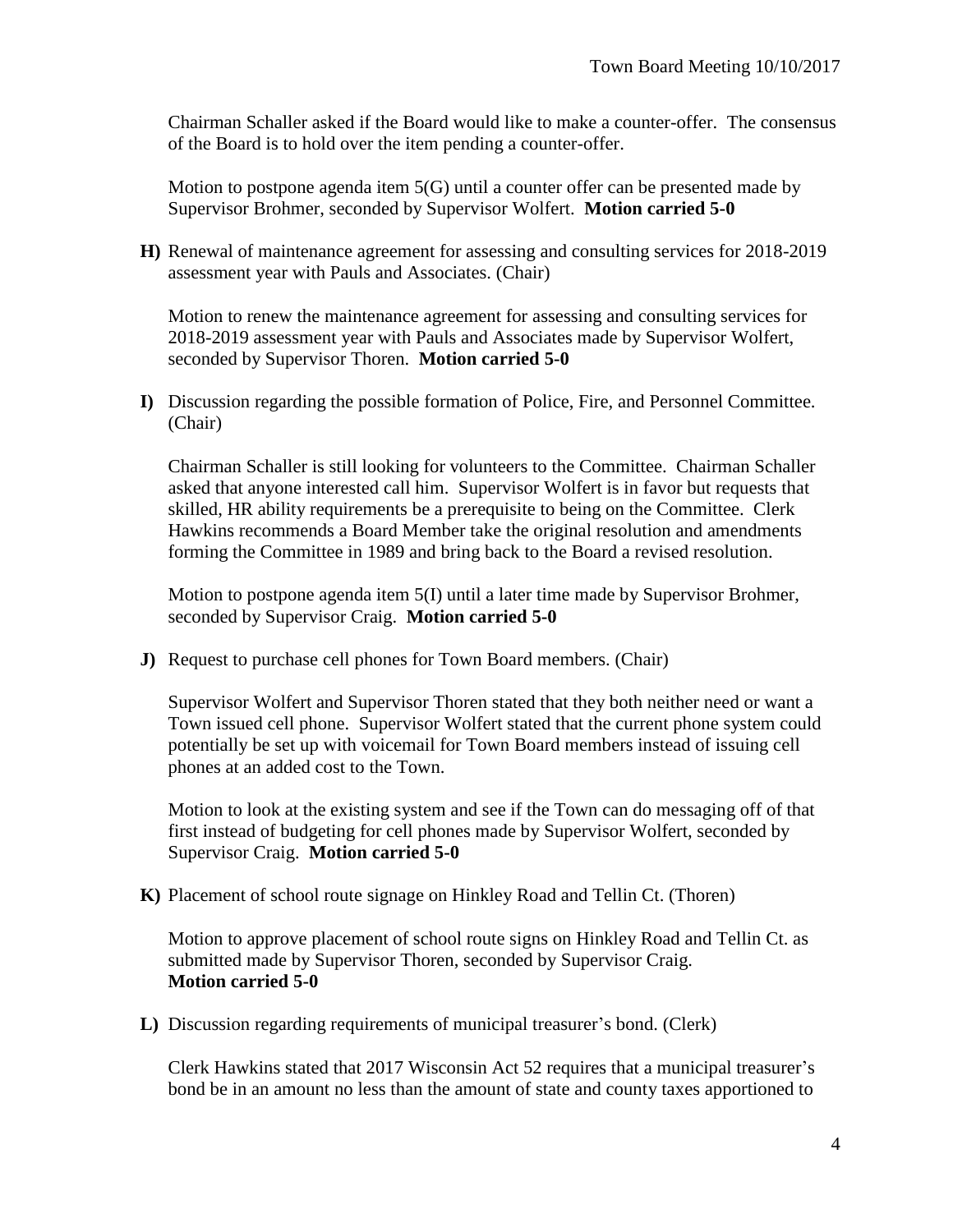Chairman Schaller asked if the Board would like to make a counter-offer. The consensus of the Board is to hold over the item pending a counter-offer.

Motion to postpone agenda item 5(G) until a counter offer can be presented made by Supervisor Brohmer, seconded by Supervisor Wolfert. **Motion carried 5-0**

**H)** Renewal of maintenance agreement for assessing and consulting services for 2018-2019 assessment year with Pauls and Associates. (Chair)

Motion to renew the maintenance agreement for assessing and consulting services for 2018-2019 assessment year with Pauls and Associates made by Supervisor Wolfert, seconded by Supervisor Thoren. **Motion carried 5-0**

**I)** Discussion regarding the possible formation of Police, Fire, and Personnel Committee. (Chair)

Chairman Schaller is still looking for volunteers to the Committee. Chairman Schaller asked that anyone interested call him. Supervisor Wolfert is in favor but requests that skilled, HR ability requirements be a prerequisite to being on the Committee. Clerk Hawkins recommends a Board Member take the original resolution and amendments forming the Committee in 1989 and bring back to the Board a revised resolution.

Motion to postpone agenda item 5(I) until a later time made by Supervisor Brohmer, seconded by Supervisor Craig. **Motion carried 5-0**

**J)** Request to purchase cell phones for Town Board members. (Chair)

Supervisor Wolfert and Supervisor Thoren stated that they both neither need or want a Town issued cell phone. Supervisor Wolfert stated that the current phone system could potentially be set up with voicemail for Town Board members instead of issuing cell phones at an added cost to the Town.

Motion to look at the existing system and see if the Town can do messaging off of that first instead of budgeting for cell phones made by Supervisor Wolfert, seconded by Supervisor Craig. **Motion carried 5-0** 

**K)** Placement of school route signage on Hinkley Road and Tellin Ct. (Thoren)

Motion to approve placement of school route signs on Hinkley Road and Tellin Ct. as submitted made by Supervisor Thoren, seconded by Supervisor Craig. **Motion carried 5-0**

**L)** Discussion regarding requirements of municipal treasurer's bond. (Clerk)

Clerk Hawkins stated that 2017 Wisconsin Act 52 requires that a municipal treasurer's bond be in an amount no less than the amount of state and county taxes apportioned to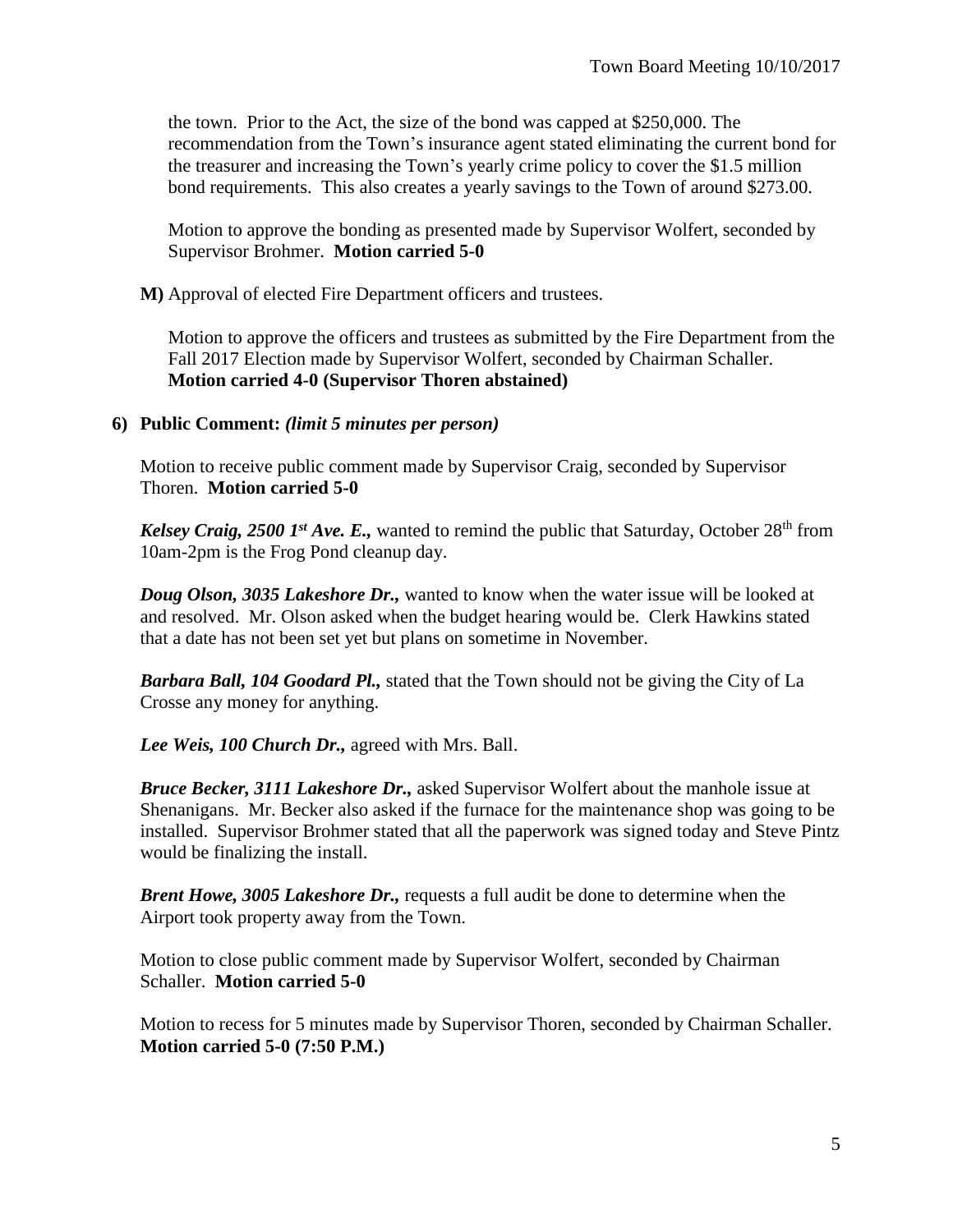the town. Prior to the Act, the size of the bond was capped at \$250,000. The recommendation from the Town's insurance agent stated eliminating the current bond for the treasurer and increasing the Town's yearly crime policy to cover the \$1.5 million bond requirements. This also creates a yearly savings to the Town of around \$273.00.

Motion to approve the bonding as presented made by Supervisor Wolfert, seconded by Supervisor Brohmer. **Motion carried 5-0**

**M)** Approval of elected Fire Department officers and trustees.

Motion to approve the officers and trustees as submitted by the Fire Department from the Fall 2017 Election made by Supervisor Wolfert, seconded by Chairman Schaller. **Motion carried 4-0 (Supervisor Thoren abstained)**

## **6) Public Comment:** *(limit 5 minutes per person)*

Motion to receive public comment made by Supervisor Craig, seconded by Supervisor Thoren. **Motion carried 5-0**

*Kelsey Craig, 2500 1<sup>st</sup> Ave. E.*, wanted to remind the public that Saturday, October 28<sup>th</sup> from 10am-2pm is the Frog Pond cleanup day.

*Doug Olson, 3035 Lakeshore Dr.,* wanted to know when the water issue will be looked at and resolved. Mr. Olson asked when the budget hearing would be. Clerk Hawkins stated that a date has not been set yet but plans on sometime in November.

*Barbara Ball, 104 Goodard Pl.,* stated that the Town should not be giving the City of La Crosse any money for anything.

*Lee Weis, 100 Church Dr.,* agreed with Mrs. Ball.

*Bruce Becker, 3111 Lakeshore Dr.,* asked Supervisor Wolfert about the manhole issue at Shenanigans. Mr. Becker also asked if the furnace for the maintenance shop was going to be installed. Supervisor Brohmer stated that all the paperwork was signed today and Steve Pintz would be finalizing the install.

*Brent Howe, 3005 Lakeshore Dr.,* requests a full audit be done to determine when the Airport took property away from the Town.

Motion to close public comment made by Supervisor Wolfert, seconded by Chairman Schaller. **Motion carried 5-0**

Motion to recess for 5 minutes made by Supervisor Thoren, seconded by Chairman Schaller. **Motion carried 5-0 (7:50 P.M.)**